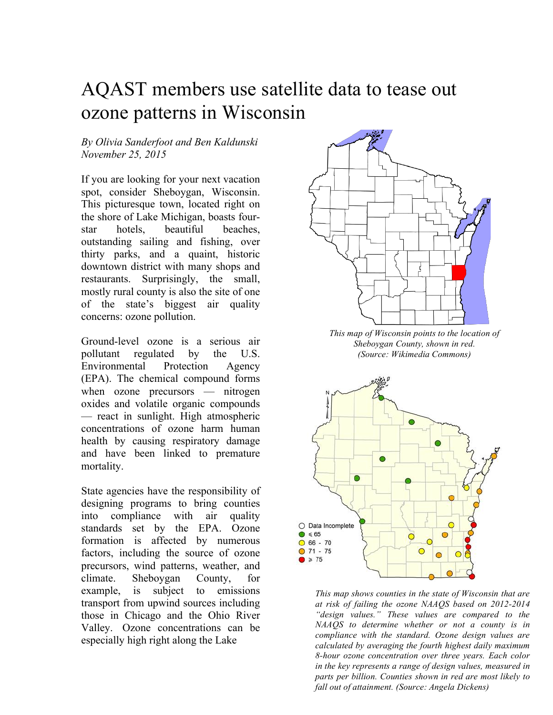# AQAST members use satellite data to tease out ozone patterns in Wisconsin

## *By Olivia Sanderfoot and Ben Kaldunski November 25, 2015*

If you are looking for your next vacation spot, consider Sheboygan, Wisconsin. This picturesque town, located right on the shore of Lake Michigan, boasts fourstar hotels, beautiful beaches, outstanding sailing and fishing, over thirty parks, and a quaint, historic downtown district with many shops and restaurants. Surprisingly, the small, mostly rural county is also the site of one of the state's biggest air quality concerns: ozone pollution.

Ground-level ozone is a serious air pollutant regulated by the U.S. Environmental Protection Agency (EPA). The chemical compound forms when ozone precursors — nitrogen oxides and volatile organic compounds — react in sunlight. High atmospheric concentrations of ozone harm human health by causing respiratory damage and have been linked to premature mortality.

State agencies have the responsibility of designing programs to bring counties into compliance with air quality standards set by the EPA. Ozone formation is affected by numerous factors, including the source of ozone precursors, wind patterns, weather, and climate. Sheboygan County, for example, is subject to emissions transport from upwind sources including those in Chicago and the Ohio River Valley. Ozone concentrations can be especially high right along the Lake



*This map of Wisconsin points to the location of Sheboygan County, shown in red. (Source: Wikimedia Commons)*



*This map shows counties in the state of Wisconsin that are at risk of failing the ozone NAAQS based on 2012-2014 "design values." These values are compared to the NAAQS to determine whether or not a county is in compliance with the standard. Ozone design values are calculated by averaging the fourth highest daily maximum 8-hour ozone concentration over three years. Each color in the key represents a range of design values, measured in parts per billion. Counties shown in red are most likely to fall out of attainment. (Source: Angela Dickens)*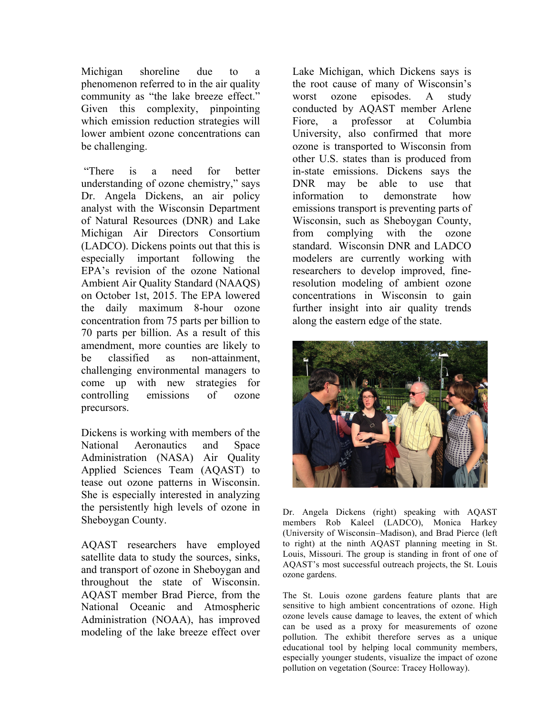Michigan shoreline due to a phenomenon referred to in the air quality community as "the lake breeze effect." Given this complexity, pinpointing which emission reduction strategies will lower ambient ozone concentrations can be challenging.

"There is a need for better understanding of ozone chemistry," says Dr. Angela Dickens, an air policy analyst with the Wisconsin Department of Natural Resources (DNR) and Lake Michigan Air Directors Consortium (LADCO). Dickens points out that this is especially important following the EPA's revision of the ozone National Ambient Air Quality Standard (NAAQS) on October 1st, 2015. The EPA lowered the daily maximum 8-hour ozone concentration from 75 parts per billion to 70 parts per billion. As a result of this amendment, more counties are likely to be classified as non-attainment, challenging environmental managers to come up with new strategies for controlling emissions of ozone precursors.

Dickens is working with members of the National Aeronautics and Space Administration (NASA) Air Quality Applied Sciences Team (AQAST) to tease out ozone patterns in Wisconsin. She is especially interested in analyzing the persistently high levels of ozone in Sheboygan County.

AQAST researchers have employed satellite data to study the sources, sinks, and transport of ozone in Sheboygan and throughout the state of Wisconsin. AQAST member Brad Pierce, from the National Oceanic and Atmospheric Administration (NOAA), has improved modeling of the lake breeze effect over

Lake Michigan, which Dickens says is the root cause of many of Wisconsin's worst ozone episodes. A study conducted by AQAST member Arlene Fiore, a professor at Columbia University, also confirmed that more ozone is transported to Wisconsin from other U.S. states than is produced from in-state emissions. Dickens says the DNR may be able to use that information to demonstrate how emissions transport is preventing parts of Wisconsin, such as Sheboygan County, from complying with the ozone standard. Wisconsin DNR and LADCO modelers are currently working with researchers to develop improved, fineresolution modeling of ambient ozone concentrations in Wisconsin to gain further insight into air quality trends along the eastern edge of the state.



Dr. Angela Dickens (right) speaking with AQAST members Rob Kaleel (LADCO), Monica Harkey (University of Wisconsin–Madison), and Brad Pierce (left to right) at the ninth AQAST planning meeting in St. Louis, Missouri. The group is standing in front of one of AQAST's most successful outreach projects, the St. Louis ozone gardens.

The St. Louis ozone gardens feature plants that are sensitive to high ambient concentrations of ozone. High ozone levels cause damage to leaves, the extent of which can be used as a proxy for measurements of ozone pollution. The exhibit therefore serves as a unique educational tool by helping local community members, especially younger students, visualize the impact of ozone pollution on vegetation (Source: Tracey Holloway).